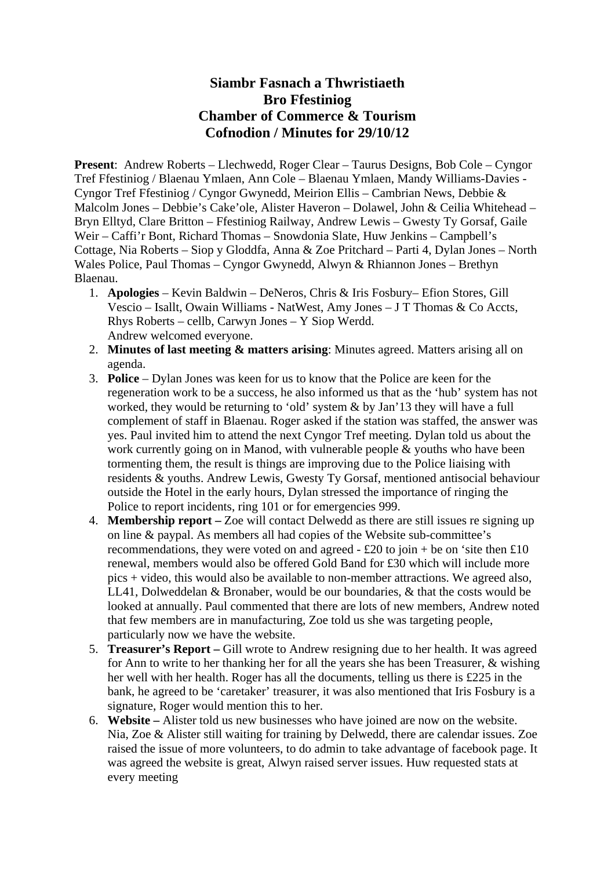## **Siambr Fasnach a Thwristiaeth Bro Ffestiniog Chamber of Commerce & Tourism Cofnodion / Minutes for 29/10/12**

**Present**: Andrew Roberts – Llechwedd, Roger Clear – Taurus Designs, Bob Cole – Cyngor Tref Ffestiniog / Blaenau Ymlaen, Ann Cole – Blaenau Ymlaen, Mandy Williams-Davies - Cyngor Tref Ffestiniog / Cyngor Gwynedd, Meirion Ellis – Cambrian News, Debbie & Malcolm Jones – Debbie's Cake'ole, Alister Haveron – Dolawel, John & Ceilia Whitehead – Bryn Elltyd, Clare Britton – Ffestiniog Railway, Andrew Lewis – Gwesty Ty Gorsaf, Gaile Weir – Caffi'r Bont, Richard Thomas – Snowdonia Slate, Huw Jenkins – Campbell's Cottage, Nia Roberts – Siop y Gloddfa, Anna & Zoe Pritchard – Parti 4, Dylan Jones – North Wales Police, Paul Thomas – Cyngor Gwynedd, Alwyn & Rhiannon Jones – Brethyn Blaenau.

- 1. **Apologies** Kevin Baldwin DeNeros, Chris & Iris Fosbury– Efion Stores, Gill Vescio – Isallt, Owain Williams - NatWest, Amy Jones – J T Thomas & Co Accts, Rhys Roberts – cellb, Carwyn Jones – Y Siop Werdd. Andrew welcomed everyone.
- 2. **Minutes of last meeting & matters arising**: Minutes agreed. Matters arising all on agenda.
- 3. **Police** Dylan Jones was keen for us to know that the Police are keen for the regeneration work to be a success, he also informed us that as the 'hub' system has not worked, they would be returning to 'old' system & by Jan'13 they will have a full complement of staff in Blaenau. Roger asked if the station was staffed, the answer was yes. Paul invited him to attend the next Cyngor Tref meeting. Dylan told us about the work currently going on in Manod, with vulnerable people & youths who have been tormenting them, the result is things are improving due to the Police liaising with residents & youths. Andrew Lewis, Gwesty Ty Gorsaf, mentioned antisocial behaviour outside the Hotel in the early hours, Dylan stressed the importance of ringing the Police to report incidents, ring 101 or for emergencies 999.
- 4. **Membership report** Zoe will contact Delwedd as there are still issues re signing up on line & paypal. As members all had copies of the Website sub-committee's recommendations, they were voted on and agreed -  $\pounds 20$  to join + be on 'site then  $\pounds 10$ renewal, members would also be offered Gold Band for £30 which will include more pics + video, this would also be available to non-member attractions. We agreed also, LL41, Dolweddelan & Bronaber, would be our boundaries, & that the costs would be looked at annually. Paul commented that there are lots of new members, Andrew noted that few members are in manufacturing, Zoe told us she was targeting people, particularly now we have the website.
- 5. **Treasurer's Report** Gill wrote to Andrew resigning due to her health. It was agreed for Ann to write to her thanking her for all the years she has been Treasurer, & wishing her well with her health. Roger has all the documents, telling us there is £225 in the bank, he agreed to be 'caretaker' treasurer, it was also mentioned that Iris Fosbury is a signature, Roger would mention this to her.
- 6. **Website** Alister told us new businesses who have joined are now on the website. Nia, Zoe & Alister still waiting for training by Delwedd, there are calendar issues. Zoe raised the issue of more volunteers, to do admin to take advantage of facebook page. It was agreed the website is great, Alwyn raised server issues. Huw requested stats at every meeting